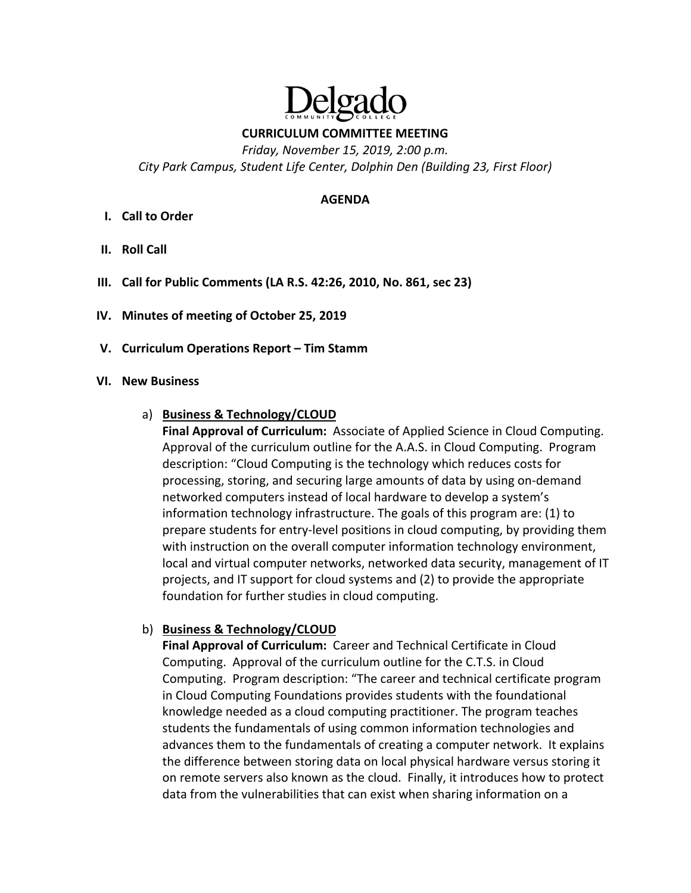

**CURRICULUM COMMITTEE MEETING** 

*Friday, November 15, 2019, 2:00 p.m. City Park Campus, Student Life Center, Dolphin Den (Building 23, First Floor)* 

#### **AGENDA**

- **I. Call to Order**
- **II. Roll Call**
- **III. Call for Public Comments (LA R.S. 42:26, 2010, No. 861, sec 23)**
- **IV. Minutes of meeting of October 25, 2019**
- **V. Curriculum Operations Report Tim Stamm**

#### **VI. New Business**

### a) **Business & Technology/CLOUD**

**Final Approval of Curriculum:** Associate of Applied Science in Cloud Computing. Approval of the curriculum outline for the A.A.S. in Cloud Computing. Program description: "Cloud Computing is the technology which reduces costs for processing, storing, and securing large amounts of data by using on‐demand networked computers instead of local hardware to develop a system's information technology infrastructure. The goals of this program are: (1) to prepare students for entry‐level positions in cloud computing, by providing them with instruction on the overall computer information technology environment, local and virtual computer networks, networked data security, management of IT projects, and IT support for cloud systems and (2) to provide the appropriate foundation for further studies in cloud computing.

### b) **Business & Technology/CLOUD**

Final Approval of Curriculum: Career and Technical Certificate in Cloud Computing. Approval of the curriculum outline for the C.T.S. in Cloud Computing. Program description: "The career and technical certificate program in Cloud Computing Foundations provides students with the foundational knowledge needed as a cloud computing practitioner. The program teaches students the fundamentals of using common information technologies and advances them to the fundamentals of creating a computer network. It explains the difference between storing data on local physical hardware versus storing it on remote servers also known as the cloud. Finally, it introduces how to protect data from the vulnerabilities that can exist when sharing information on a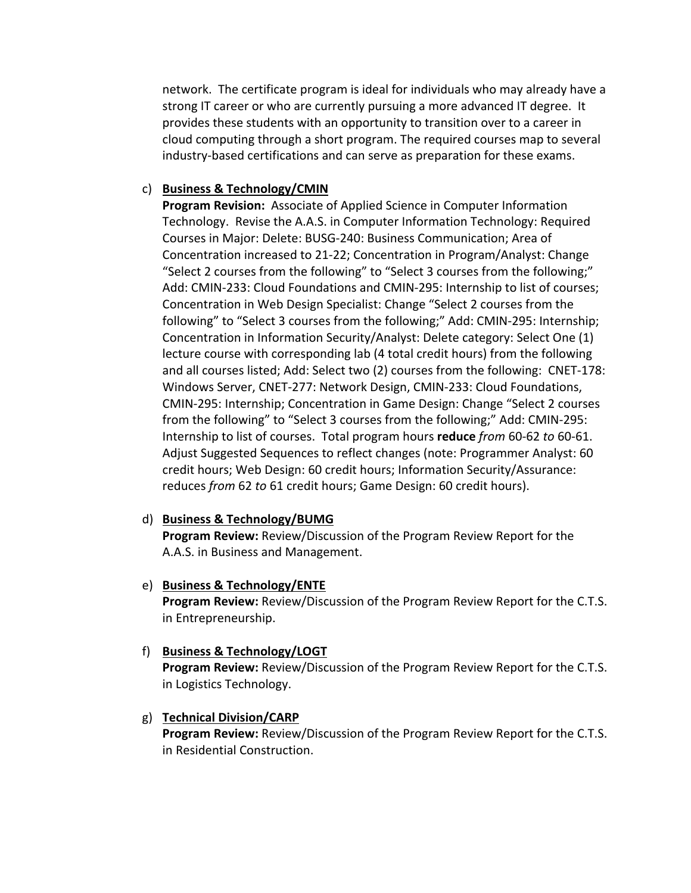network. The certificate program is ideal for individuals who may already have a strong IT career or who are currently pursuing a more advanced IT degree. It provides these students with an opportunity to transition over to a career in cloud computing through a short program. The required courses map to several industry‐based certifications and can serve as preparation for these exams.

## c) **Business & Technology/CMIN**

**Program Revision:** Associate of Applied Science in Computer Information Technology. Revise the A.A.S. in Computer Information Technology: Required Courses in Major: Delete: BUSG‐240: Business Communication; Area of Concentration increased to 21‐22; Concentration in Program/Analyst: Change "Select 2 courses from the following" to "Select 3 courses from the following;" Add: CMIN‐233: Cloud Foundations and CMIN‐295: Internship to list of courses; Concentration in Web Design Specialist: Change "Select 2 courses from the following" to "Select 3 courses from the following;" Add: CMIN‐295: Internship; Concentration in Information Security/Analyst: Delete category: Select One (1) lecture course with corresponding lab (4 total credit hours) from the following and all courses listed; Add: Select two (2) courses from the following: CNET‐178: Windows Server, CNET‐277: Network Design, CMIN‐233: Cloud Foundations, CMIN‐295: Internship; Concentration in Game Design: Change "Select 2 courses from the following" to "Select 3 courses from the following;" Add: CMIN‐295: Internship to list of courses. Total program hours **reduce** *from* 60‐62 *to* 60‐61. Adjust Suggested Sequences to reflect changes (note: Programmer Analyst: 60 credit hours; Web Design: 60 credit hours; Information Security/Assurance: reduces *from* 62 *to* 61 credit hours; Game Design: 60 credit hours).

### d) **Business & Technology/BUMG**

**Program Review:** Review/Discussion of the Program Review Report for the A.A.S. in Business and Management.

### e) **Business & Technology/ENTE**

**Program Review:** Review/Discussion of the Program Review Report for the C.T.S. in Entrepreneurship.

### f) **Business & Technology/LOGT**

**Program Review:** Review/Discussion of the Program Review Report for the C.T.S. in Logistics Technology.

# g) **Technical Division/CARP**

**Program Review:** Review/Discussion of the Program Review Report for the C.T.S. in Residential Construction.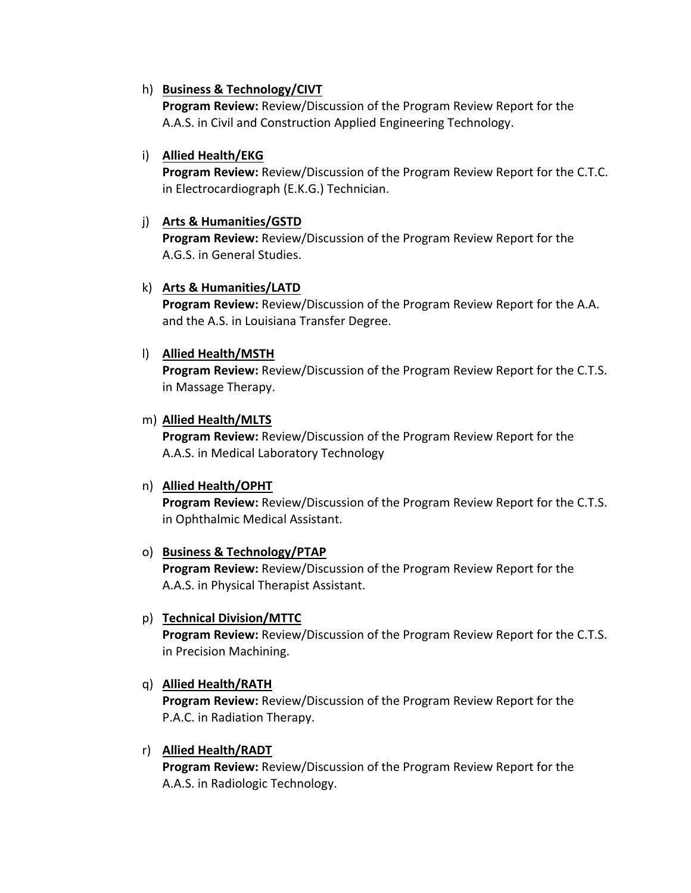## h) **Business & Technology/CIVT**

**Program Review:** Review/Discussion of the Program Review Report for the A.A.S. in Civil and Construction Applied Engineering Technology.

## i) **Allied Health/EKG**

**Program Review:** Review/Discussion of the Program Review Report for the C.T.C. in Electrocardiograph (E.K.G.) Technician.

## j) **Arts & Humanities/GSTD**

**Program Review:** Review/Discussion of the Program Review Report for the A.G.S. in General Studies.

# k) **Arts & Humanities/LATD**

**Program Review:** Review/Discussion of the Program Review Report for the A.A. and the A.S. in Louisiana Transfer Degree.

## l) **Allied Health/MSTH**

**Program Review:** Review/Discussion of the Program Review Report for the C.T.S. in Massage Therapy.

## m) **Allied Health/MLTS**

**Program Review:** Review/Discussion of the Program Review Report for the A.A.S. in Medical Laboratory Technology

# n) **Allied Health/OPHT**

**Program Review:** Review/Discussion of the Program Review Report for the C.T.S. in Ophthalmic Medical Assistant.

### o) **Business & Technology/PTAP**

**Program Review:** Review/Discussion of the Program Review Report for the A.A.S. in Physical Therapist Assistant.

### p) **Technical Division/MTTC**

**Program Review:** Review/Discussion of the Program Review Report for the C.T.S. in Precision Machining.

# q) **Allied Health/RATH**

**Program Review:** Review/Discussion of the Program Review Report for the P.A.C. in Radiation Therapy.

### r) **Allied Health/RADT**

**Program Review:** Review/Discussion of the Program Review Report for the A.A.S. in Radiologic Technology.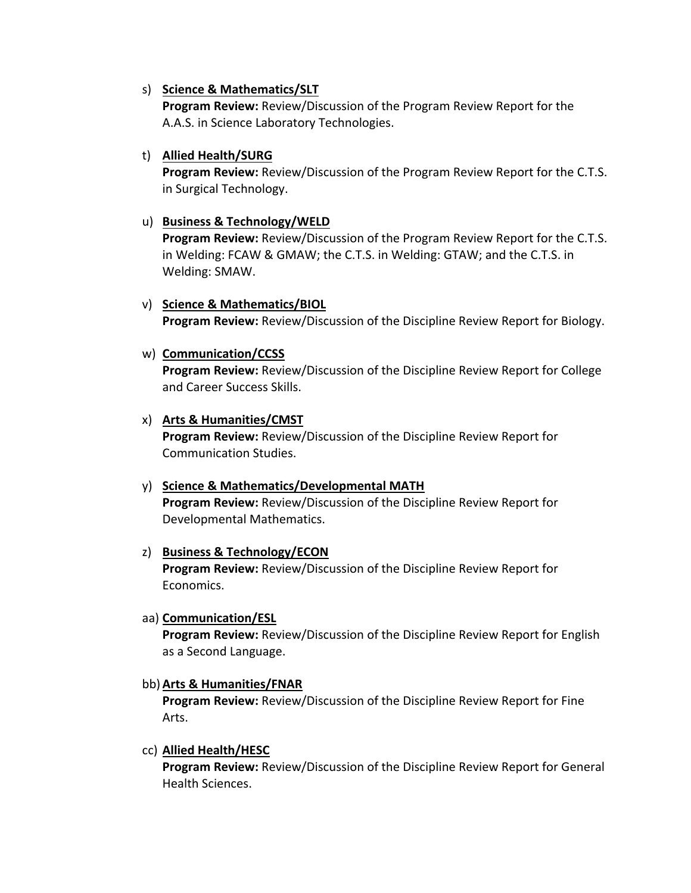### s) **Science & Mathematics/SLT**

**Program Review:** Review/Discussion of the Program Review Report for the A.A.S. in Science Laboratory Technologies.

## t) **Allied Health/SURG**

**Program Review:** Review/Discussion of the Program Review Report for the C.T.S. in Surgical Technology.

### u) **Business & Technology/WELD**

**Program Review:** Review/Discussion of the Program Review Report for the C.T.S. in Welding: FCAW & GMAW; the C.T.S. in Welding: GTAW; and the C.T.S. in Welding: SMAW.

## v) **Science & Mathematics/BIOL**

**Program Review:** Review/Discussion of the Discipline Review Report for Biology.

w) **Communication/CCSS** 

**Program Review:** Review/Discussion of the Discipline Review Report for College and Career Success Skills.

## x) **Arts & Humanities/CMST**

**Program Review:** Review/Discussion of the Discipline Review Report for Communication Studies.

# y) **Science & Mathematics/Developmental MATH**

**Program Review:** Review/Discussion of the Discipline Review Report for Developmental Mathematics.

### z) **Business & Technology/ECON**

**Program Review:** Review/Discussion of the Discipline Review Report for Economics.

### aa) **Communication/ESL**

**Program Review:** Review/Discussion of the Discipline Review Report for English as a Second Language.

### bb)**Arts & Humanities/FNAR**

**Program Review:** Review/Discussion of the Discipline Review Report for Fine Arts.

### cc) **Allied Health/HESC**

**Program Review:** Review/Discussion of the Discipline Review Report for General Health Sciences.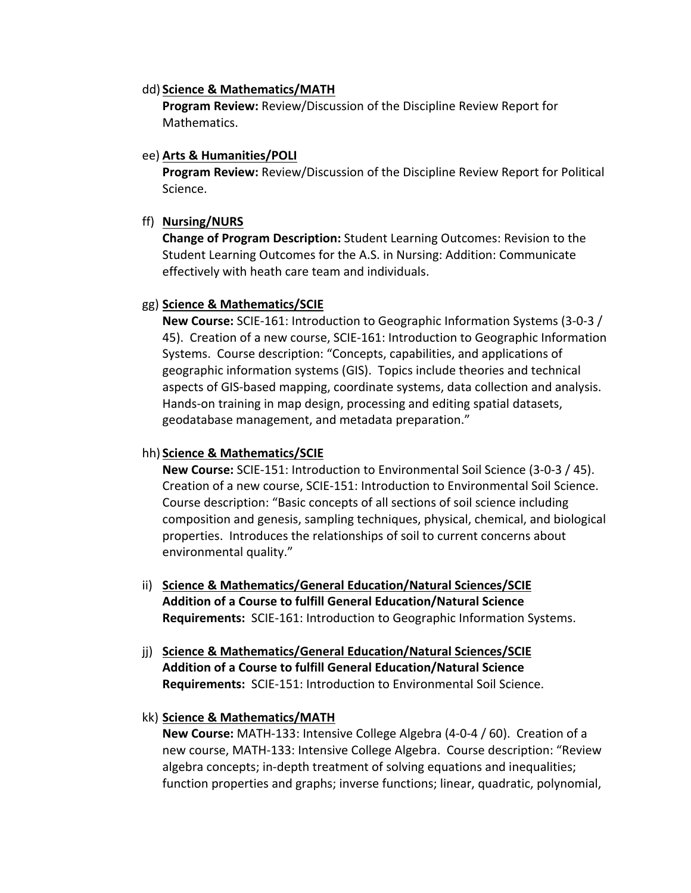#### dd) **Science & Mathematics/MATH**

**Program Review:** Review/Discussion of the Discipline Review Report for Mathematics.

### ee) **Arts & Humanities/POLI**

**Program Review:** Review/Discussion of the Discipline Review Report for Political Science.

## ff) **Nursing/NURS**

**Change of Program Description:** Student Learning Outcomes: Revision to the Student Learning Outcomes for the A.S. in Nursing: Addition: Communicate effectively with heath care team and individuals.

## gg) **Science & Mathematics/SCIE**

**New Course:** SCIE‐161: Introduction to Geographic Information Systems (3‐0‐3 / 45). Creation of a new course, SCIE‐161: Introduction to Geographic Information Systems. Course description: "Concepts, capabilities, and applications of geographic information systems (GIS). Topics include theories and technical aspects of GIS‐based mapping, coordinate systems, data collection and analysis. Hands‐on training in map design, processing and editing spatial datasets, geodatabase management, and metadata preparation."

## hh) **Science & Mathematics/SCIE**

**New Course:** SCIE‐151: Introduction to Environmental Soil Science (3‐0‐3 / 45). Creation of a new course, SCIE‐151: Introduction to Environmental Soil Science. Course description: "Basic concepts of all sections of soil science including composition and genesis, sampling techniques, physical, chemical, and biological properties. Introduces the relationships of soil to current concerns about environmental quality."

- ii) **Science & Mathematics/General Education/Natural Sciences/SCIE Addition of a Course to fulfill General Education/Natural Science Requirements:** SCIE‐161: Introduction to Geographic Information Systems.
- jj) **Science & Mathematics/General Education/Natural Sciences/SCIE Addition of a Course to fulfill General Education/Natural Science Requirements:** SCIE‐151: Introduction to Environmental Soil Science.

# kk) **Science & Mathematics/MATH**

**New Course:** MATH‐133: Intensive College Algebra (4‐0‐4 / 60). Creation of a new course, MATH‐133: Intensive College Algebra. Course description: "Review algebra concepts; in‐depth treatment of solving equations and inequalities; function properties and graphs; inverse functions; linear, quadratic, polynomial,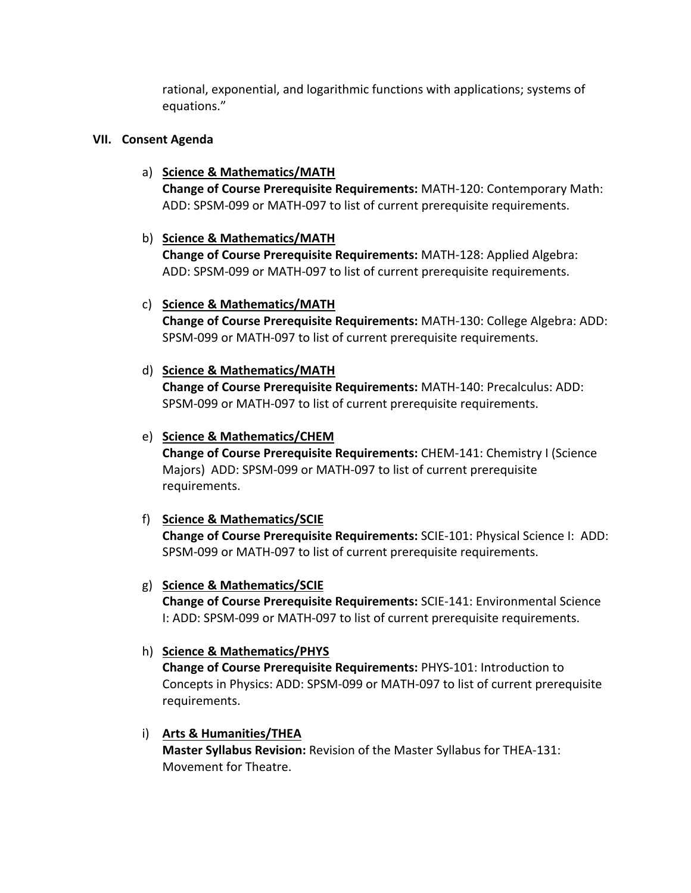rational, exponential, and logarithmic functions with applications; systems of equations."

### **VII. Consent Agenda**

### a) **Science & Mathematics/MATH**

**Change of Course Prerequisite Requirements:** MATH‐120: Contemporary Math: ADD: SPSM‐099 or MATH‐097 to list of current prerequisite requirements.

## b) **Science & Mathematics/MATH**

**Change of Course Prerequisite Requirements:** MATH‐128: Applied Algebra: ADD: SPSM‐099 or MATH‐097 to list of current prerequisite requirements.

### c) **Science & Mathematics/MATH**

**Change of Course Prerequisite Requirements:** MATH‐130: College Algebra: ADD: SPSM‐099 or MATH‐097 to list of current prerequisite requirements.

## d) **Science & Mathematics/MATH**

**Change of Course Prerequisite Requirements:** MATH‐140: Precalculus: ADD: SPSM‐099 or MATH‐097 to list of current prerequisite requirements.

## e) **Science & Mathematics/CHEM**

**Change of Course Prerequisite Requirements:** CHEM‐141: Chemistry I (Science Majors) ADD: SPSM‐099 or MATH‐097 to list of current prerequisite requirements.

# f) **Science & Mathematics/SCIE**

**Change of Course Prerequisite Requirements:** SCIE‐101: Physical Science I: ADD: SPSM‐099 or MATH‐097 to list of current prerequisite requirements.

### g) **Science & Mathematics/SCIE**

**Change of Course Prerequisite Requirements:** SCIE‐141: Environmental Science I: ADD: SPSM‐099 or MATH‐097 to list of current prerequisite requirements.

### h) **Science & Mathematics/PHYS**

**Change of Course Prerequisite Requirements:** PHYS‐101: Introduction to Concepts in Physics: ADD: SPSM‐099 or MATH‐097 to list of current prerequisite requirements.

### i) **Arts & Humanities/THEA**

**Master Syllabus Revision:** Revision of the Master Syllabus for THEA‐131: Movement for Theatre.